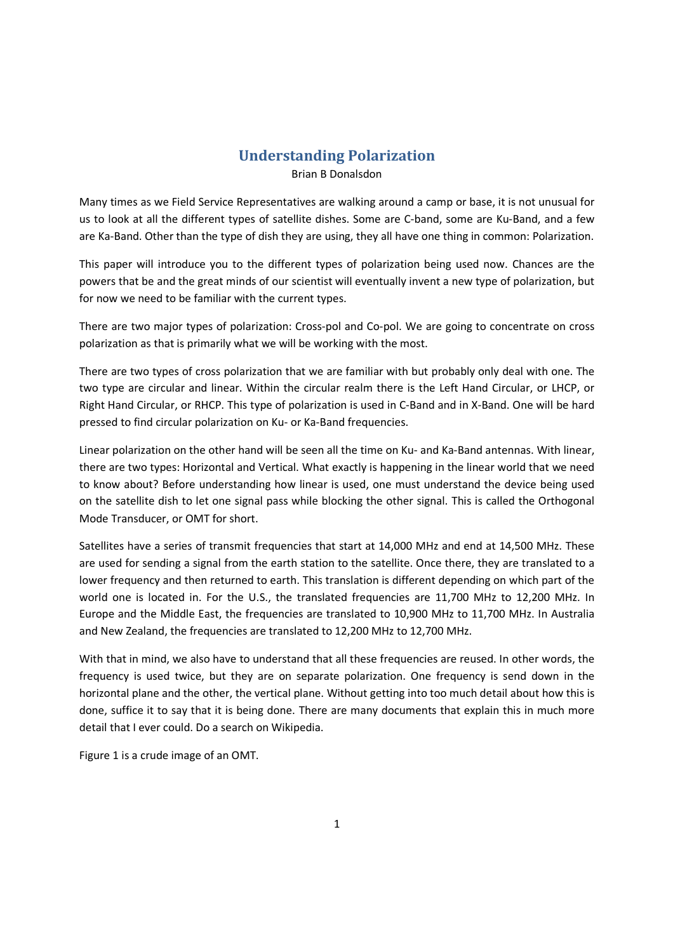## **Understanding Polarization**

Brian B Donalsdon

Many times as we Field Service Representatives are walking around a camp or base, it is not unusual for us to look at all the different types of satellite dishes. Some are C-band, some are Ku-Band, and a few are Ka-Band. Other than the type of dish they are using, they all have one thing in common: Polarization.

This paper will introduce you to the different types of polarization being used now. Chances are the powers that be and the great minds of our scientist will eventually invent a new type of polarization, but for now we need to be familiar with the current types.

There are two major types of polarization: Cross-pol and Co-pol. We are going to concentrate on cross polarization as that is primarily what we will be working with the most.

There are two types of cross polarization that we are familiar with but probably only deal with one. The two type are circular and linear. Within the circular realm there is the Left Hand Circular, or LHCP, or Right Hand Circular, or RHCP. This type of polarization is used in C-Band and in X-Band. One will be hard pressed to find circular polarization on Ku- or Ka-Band frequencies.

Linear polarization on the other hand will be seen all the time on Ku- and Ka-Band antennas. With linear, there are two types: Horizontal and Vertical. What exactly is happening in the linear world that we need to know about? Before understanding how linear is used, one must understand the device being used on the satellite dish to let one signal pass while blocking the other signal. This is called the Orthogonal Mode Transducer, or OMT for short.

Satellites have a series of transmit frequencies that start at 14,000 MHz and end at 14,500 MHz. These are used for sending a signal from the earth station to the satellite. Once there, they are translated to a lower frequency and then returned to earth. This translation is different depending on which part of the world one is located in. For the U.S., the translated frequencies are 11,700 MHz to 12,200 MHz. In Europe and the Middle East, the frequencies are translated to 10,900 MHz to 11,700 MHz. In Australia and New Zealand, the frequencies are translated to 12,200 MHz to 12,700 MHz.

With that in mind, we also have to understand that all these frequencies are reused. In other words, the frequency is used twice, but they are on separate polarization. One frequency is send down in the horizontal plane and the other, the vertical plane. Without getting into too much detail about how this is done, suffice it to say that it is being done. There are many documents that explain this in much more detail that I ever could. Do a search on Wikipedia.

Figure 1 is a crude image of an OMT.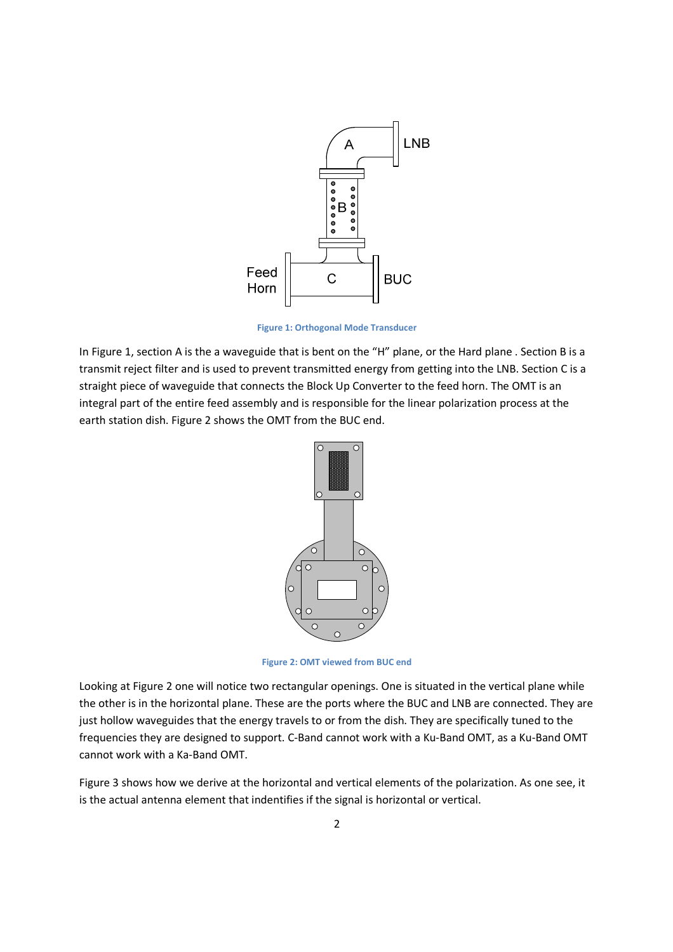

**Figure 1: Orthogonal Mode Transducer** 

In Figure 1, section A is the a waveguide that is bent on the "H" plane, or the Hard plane . Section B is a transmit reject filter and is used to prevent transmitted energy from getting into the LNB. Section C is a straight piece of waveguide that connects the Block Up Converter to the feed horn. The OMT is an integral part of the entire feed assembly and is responsible for the linear polarization process at the earth station dish. Figure 2 shows the OMT from the BUC end.



**Figure 2: OMT viewed from BUC end** 

Looking at Figure 2 one will notice two rectangular openings. One is situated in the vertical plane while the other is in the horizontal plane. These are the ports where the BUC and LNB are connected. They are just hollow waveguides that the energy travels to or from the dish. They are specifically tuned to the frequencies they are designed to support. C-Band cannot work with a Ku-Band OMT, as a Ku-Band OMT cannot work with a Ka-Band OMT.

Figure 3 shows how we derive at the horizontal and vertical elements of the polarization. As one see, it is the actual antenna element that indentifies if the signal is horizontal or vertical.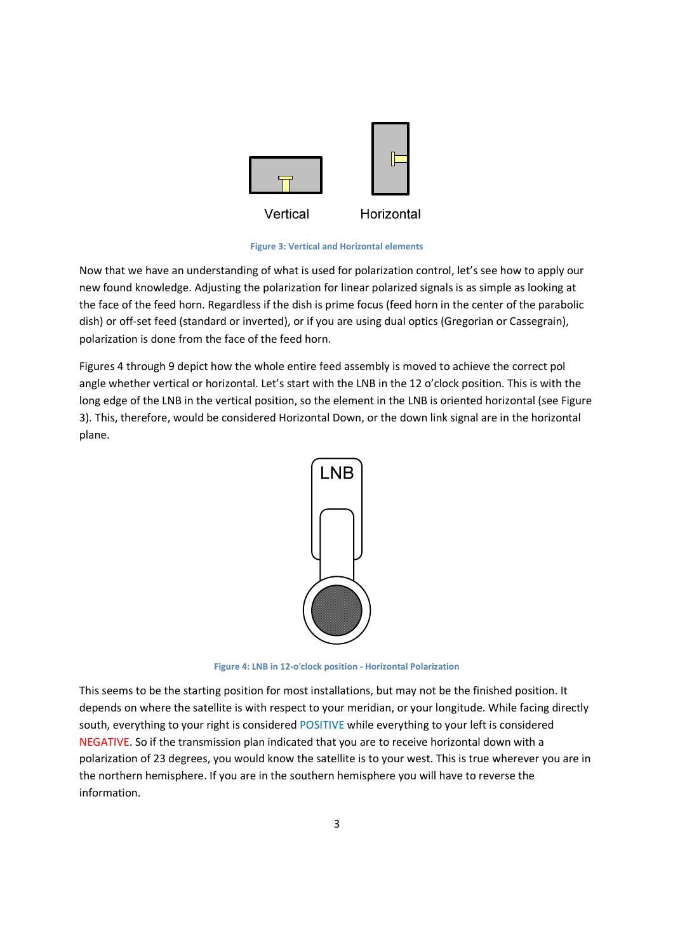

**Figure 3: Vertical and Horizontal elements** 

Now that we have an understanding of what is used for polarization control, let's see how to apply our new found knowledge. Adjusting the polarization for linear polarized signals is as simple as looking at the face of the feed horn. Regardless if the dish is prime focus (feed horn in the center of the parabolic dish) or off-set feed (standard or inverted), or if you are using dual optics (Gregorian or Cassegrain), polarization is done from the face of the feed horn.

Figures 4 through 9 depict how the whole entire feed assembly is moved to achieve the correct pol angle whether vertical or horizontal. Let's start with the LNB in the 12 o'clock position. This is with the long edge of the LNB in the vertical position, so the element in the LNB is oriented horizontal (see Figure 3). This, therefore, would be considered Horizontal Down, or the down link signal are in the horizontal plane.



**Figure 4: LNB in 12-o'clock position - Horizontal Polarization** 

This seems to be the starting position for most installations, but may not be the finished position. It depends on where the satellite is with respect to your meridian, or your longitude. While facing directly south, everything to your right is considered POSITIVE while everything to your left is considered NEGATIVE. So if the transmission plan indicated that you are to receive horizontal down with a polarization of 23 degrees, you would know the satellite is to your west. This is true wherever you are in the northern hemisphere. If you are in the southern hemisphere you will have to reverse the information.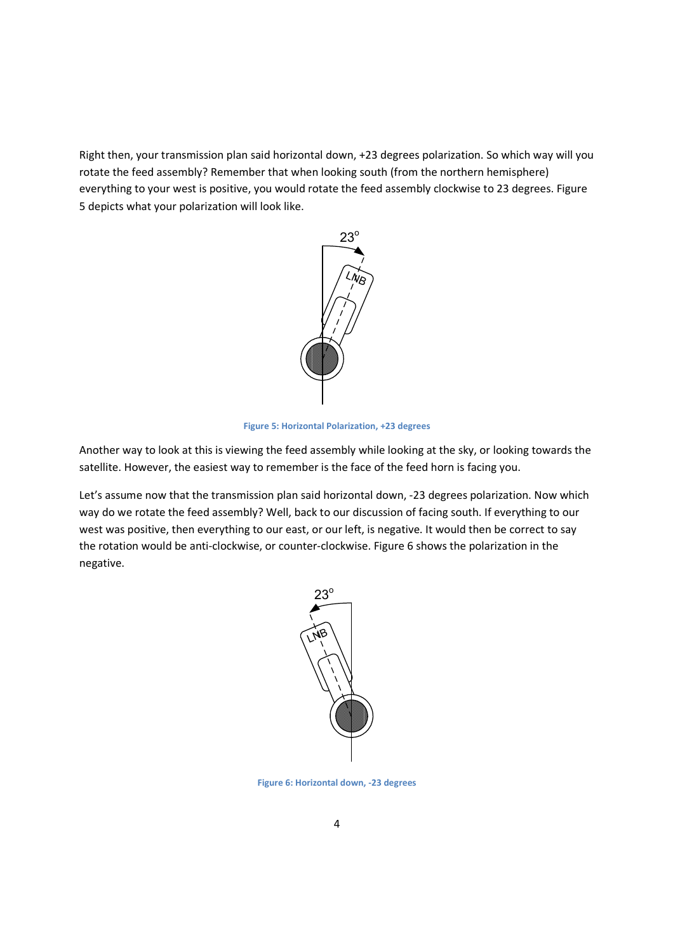Right then, your transmission plan said horizontal down, +23 degrees polarization. So which way will you rotate the feed assembly? Remember that when looking south (from the northern hemisphere) everything to your west is positive, you would rotate the feed assembly clockwise to 23 degrees. Figure 5 depicts what your polarization will look like.



**Figure 5: Horizontal Polarization, +23 degrees** 

Another way to look at this is viewing the feed assembly while looking at the sky, or looking towards the satellite. However, the easiest way to remember is the face of the feed horn is facing you.

Let's assume now that the transmission plan said horizontal down, -23 degrees polarization. Now which way do we rotate the feed assembly? Well, back to our discussion of facing south. If everything to our west was positive, then everything to our east, or our left, is negative. It would then be correct to say the rotation would be anti-clockwise, or counter-clockwise. Figure 6 shows the polarization in the negative.



**Figure 6: Horizontal down, -23 degrees**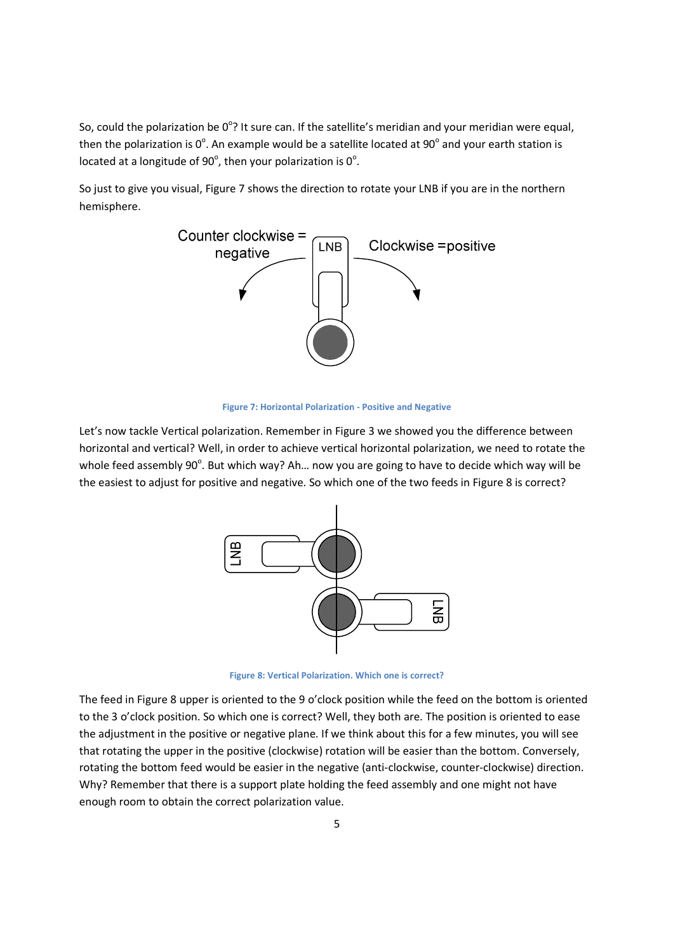So, could the polarization be  $0^{\circ}$ ? It sure can. If the satellite's meridian and your meridian were equal, then the polarization is  $0^{\circ}$ . An example would be a satellite located at 90 $^{\circ}$  and your earth station is located at a longitude of 90 $^{\circ}$ , then your polarization is 0 $^{\circ}$ .

So just to give you visual, Figure 7 shows the direction to rotate your LNB if you are in the northern hemisphere.



**Figure 7: Horizontal Polarization - Positive and Negative** 

Let's now tackle Vertical polarization. Remember in Figure 3 we showed you the difference between horizontal and vertical? Well, in order to achieve vertical horizontal polarization, we need to rotate the whole feed assembly 90°. But which way? Ah... now you are going to have to decide which way will be the easiest to adjust for positive and negative. So which one of the two feeds in Figure 8 is correct?



**Figure 8: Vertical Polarization. Which one is correct?** 

The feed in Figure 8 upper is oriented to the 9 o'clock position while the feed on the bottom is oriented to the 3 o'clock position. So which one is correct? Well, they both are. The position is oriented to ease the adjustment in the positive or negative plane. If we think about this for a few minutes, you will see that rotating the upper in the positive (clockwise) rotation will be easier than the bottom. Conversely, rotating the bottom feed would be easier in the negative (anti-clockwise, counter-clockwise) direction. Why? Remember that there is a support plate holding the feed assembly and one might not have enough room to obtain the correct polarization value.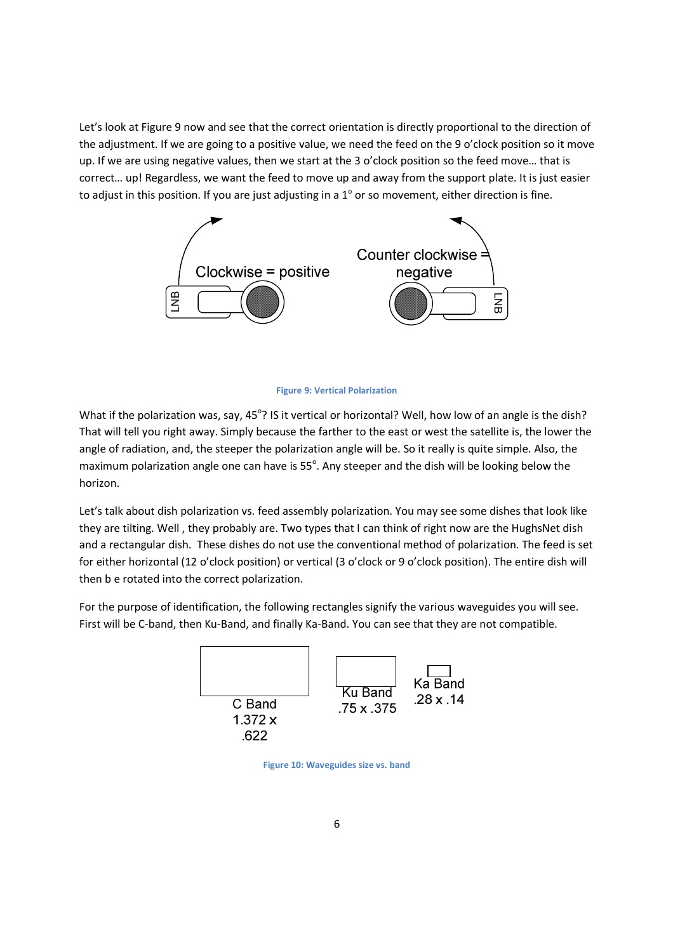Let's look at Figure 9 now and see that the correct orientation is directly proportional to the direction of the adjustment. If we are going to a positive value, we need the feed on the 9 o'clock position so it move up. If we are using negative values, then we start at the 3 o'clock position so the feed move… that is correct… up! Regardless, we want the feed to move up and away from the support plate. It is just easier to adjust in this position. If you are just adjusting in a  $1^{\circ}$  or so movement, either direction is fine.



## **Figure 9: Vertical Polarization**

What if the polarization was, say, 45°? IS it vertical or horizontal? Well, how low of an angle is the dish? That will tell you right away. Simply because the farther to the east or west the satellite is, the lower the angle of radiation, and, the steeper the polarization angle will be. So it really is quite simple. Also, the maximum polarization angle one can have is 55°. Any steeper and the dish will be looking below the horizon.

Let's talk about dish polarization vs. feed assembly polarization. You may see some dishes that look like they are tilting. Well , they probably are. Two types that I can think of right now are the HughsNet dish and a rectangular dish. These dishes do not use the conventional method of polarization. The feed is set for either horizontal (12 o'clock position) or vertical (3 o'clock or 9 o'clock position). The entire dish will then b e rotated into the correct polarization.

For the purpose of identification, the following rectangles signify the various waveguides you will see. First will be C-band, then Ku-Band, and finally Ka-Band. You can see that they are not compatible.



**Figure 10: Waveguides size vs. band**